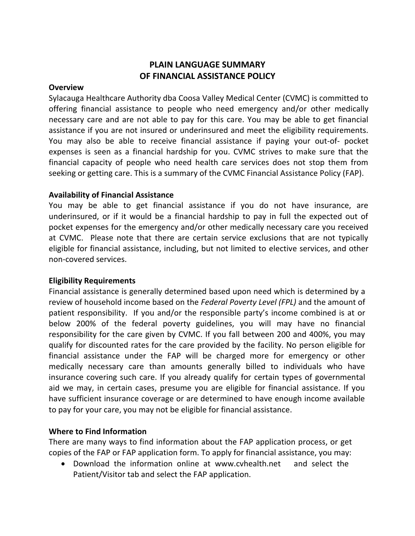# **PLAIN LANGUAGE SUMMARY OF FINANCIAL ASSISTANCE POLICY**

#### **Overview**

Sylacauga Healthcare Authority dba Coosa Valley Medical Center (CVMC) is committed to offering financial assistance to people who need emergency and/or other medically necessary care and are not able to pay for this care. You may be able to get financial assistance if you are not insured or underinsured and meet the eligibility requirements. You may also be able to receive financial assistance if paying your out-of- pocket expenses is seen as a financial hardship for you. CVMC strives to make sure that the financial capacity of people who need health care services does not stop them from seeking or getting care. This is a summary of the CVMC Financial Assistance Policy (FAP).

### **Availability of Financial Assistance**

You may be able to get financial assistance if you do not have insurance, are underinsured, or if it would be a financial hardship to pay in full the expected out of pocket expenses for the emergency and/or other medically necessary care you received at CVMC. Please note that there are certain service exclusions that are not typically eligible for financial assistance, including, but not limited to elective services, and other non-covered services.

### **Eligibility Requirements**

Financial assistance is generally determined based upon need which is determined by a review of household income based on the *Federal Poverty Level (FPL)* and the amount of patient responsibility. If you and/or the responsible party's income combined is at or below 200% of the federal poverty guidelines, you will may have no financial responsibility for the care given by CVMC. If you fall between 200 and 400%, you may qualify for discounted rates for the care provided by the facility. No person eligible for financial assistance under the FAP will be charged more for emergency or other medically necessary care than amounts generally billed to individuals who have insurance covering such care. If you already qualify for certain types of governmental aid we may, in certain cases, presume you are eligible for financial assistance. If you have sufficient insurance coverage or are determined to have enough income available to pay for your care, you may not be eligible for financial assistance.

## **Where to Find Information**

There are many ways to find information about the FAP application process, or get copies of the FAP or FAP application form. To apply for financial assistance, you may:

 Download the information online at www.cvhealth.netand select the Patient/Visitor tab and select the FAP application.